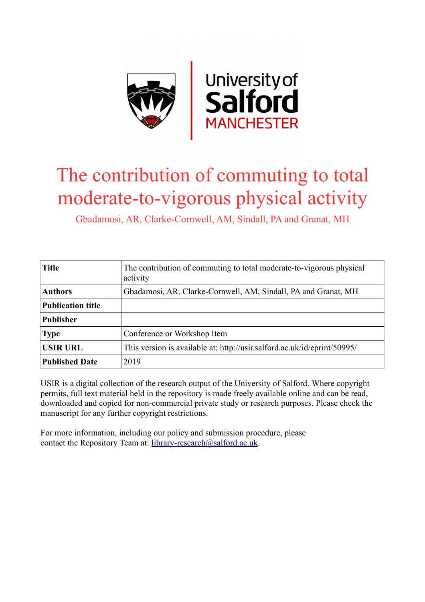

### The contribution of commuting to total moderate-to-vigorous physical activity

Gbadamosi, AR, Clarke-Cornwell, AM, Sindall, PA and Granat, MH

| <b>Title</b>             | The contribution of commuting to total moderate-to-vigorous physical<br>activity |
|--------------------------|----------------------------------------------------------------------------------|
| <b>Authors</b>           | Gbadamosi, AR, Clarke-Cornwell, AM, Sindall, PA and Granat, MH                   |
| <b>Publication title</b> |                                                                                  |
| <b>Publisher</b>         |                                                                                  |
| <b>Type</b>              | Conference or Workshop Item                                                      |
| <b>USIR URL</b>          | This version is available at: http://usir.salford.ac.uk/id/eprint/50995/         |
| <b>Published Date</b>    | 2019                                                                             |

USIR is a digital collection of the research output of the University of Salford. Where copyright permits, full text material held in the repository is made freely available online and can be read, downloaded and copied for non-commercial private study or research purposes. Please check the manuscript for any further copyright restrictions.

For more information, including our policy and submission procedure, please contact the Repository Team at: [library-research@salford.ac.uk.](mailto:library-research@salford.ac.uk)